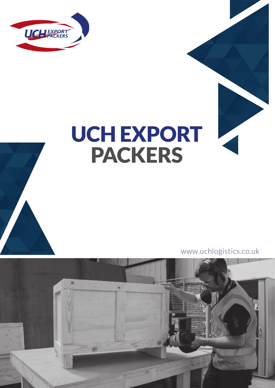

# UCH EXPORT PACKERS

www.uchlogistics.co.uk

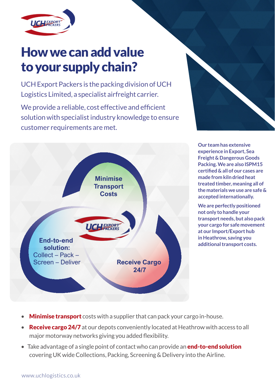

## How we can add value to your supply chain?

UCH Export Packers is the packing division of UCH Logistics Limited, a specialist airfreight carrier.

We provide a reliable, cost effective and efficient solution with specialist industry knowledge to ensure customer requirements are met.





**Our team has extensive experience in Export, Sea Freight & Dangerous Goods Packing. We are also ISPM15 certified & all of our cases are made from kiln dried heat treated timber, meaning all of the materials we use are safe & accepted internationally.**

**We are perfectly positioned not only to handle your transport needs, but also pack your cargo for safe movement at our Import/Export hub in Heathrow, saving you additional transport costs.** 

- **Minimise transport** costs with a supplier that can pack your cargo in-house.
- **Receive cargo 24/7** at our depots conveniently located at Heathrow with access to all major motorway networks giving you added flexibility.
- Take advantage of a single point of contact who can provide an **end-to-end solution** covering UK wide Collections, Packing, Screening & Delivery into the Airline.